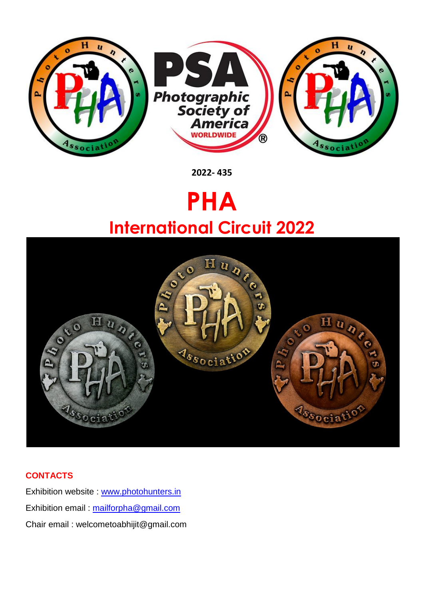

**2022- 435**

# **PHA International Circuit 2022**



# **CONTACTS**

Exhibition website : [www.photohunters.in](http://www.photohunters.in/) Exhibition email : [mailforpha@gmail.com](mailto:mailforpha@gmail.com) Chair email : welcometoabhijit@gmail.com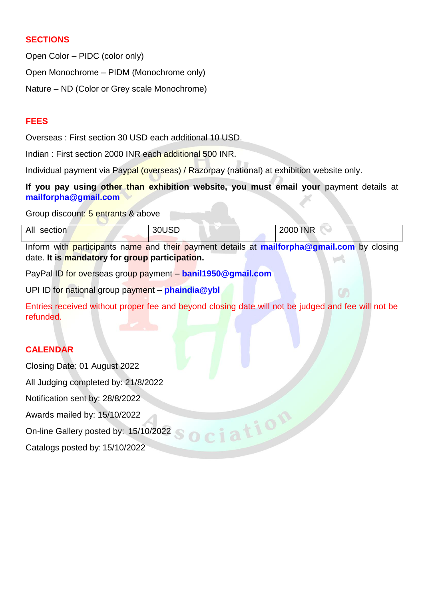## **SECTIONS**

Open Color – PIDC (color only)

Open Monochrome – PIDM (Monochrome only)

Nature – ND (Color or Grey scale Monochrome)

## **FEES**

Overseas : First section 30 USD each additional 10 USD.

Indian : First section 2000 INR each additional 500 INR.

Individual payment via Paypal (overseas) / Razorpay (national) at exhibition website only.

**If you pay using other than exhibition website, you must email your** payment details at **mailforpha@gmail.com**

Group discount: 5 entrants & above

| All<br>section | 30USD | <b>2000 INR</b> |
|----------------|-------|-----------------|

Inform with participants name and their payment details at **mailforpha@gmail.com** by closing date. **It is mandatory for group participation.**

PayPal ID for overseas group payment – **banil1950@gmail.com**

UPI ID for national group payment – **phaindia@ybl**

Entries received without proper fee and beyond closing date will not be judged and fee will not be refunded.

ociation

## **CALENDAR**

Closing Date: 01 August 2022

All Judging completed by: 21/8/2022

Notification sent by: 28/8/2022

Awards mailed by: 15/10/2022

On-line Gallery posted by: 15/10/2022

Catalogs posted by: 15/10/2022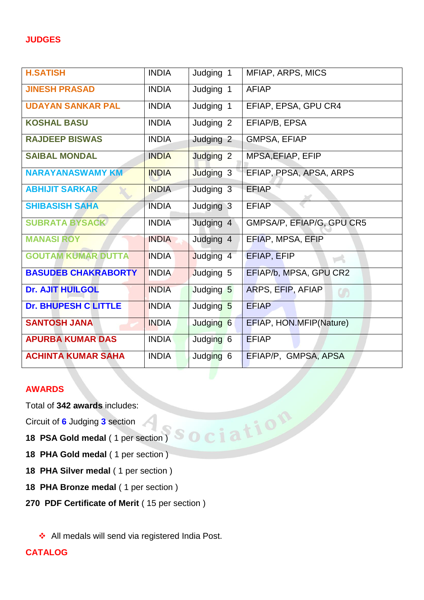| <b>H.SATISH</b>             | <b>INDIA</b> | Judging 1            | MFIAP, ARPS, MICS                    |
|-----------------------------|--------------|----------------------|--------------------------------------|
| <b>JINESH PRASAD</b>        | <b>INDIA</b> | Judging 1            | <b>AFIAP</b>                         |
| <b>UDAYAN SANKAR PAL</b>    | <b>INDIA</b> | Judging 1            | EFIAP, EPSA, GPU CR4                 |
| <b>KOSHAL BASU</b>          | <b>INDIA</b> | Judging <sub>2</sub> | EFIAP/B, EPSA                        |
| <b>RAJDEEP BISWAS</b>       | <b>INDIA</b> | Judging 2            | <b>GMPSA, EFIAP</b>                  |
| <b>SAIBAL MONDAL</b>        | <b>INDIA</b> | Judging <sub>2</sub> | MPSA, EFIAP, EFIP                    |
| <b>NARAYANASWAMY KM</b>     | <b>INDIA</b> | Judging 3            | EFIAP, PPSA, APSA, ARPS              |
| <b>ABHIJIT SARKAR</b>       | <b>INDIA</b> | Judging 3            | <b>EFIAP</b>                         |
| <b>SHIBASISH SAHA</b>       | <b>INDIA</b> | Judging 3            | <b>EFIAP</b>                         |
| <b>SUBRATA BYSACK</b>       | <b>INDIA</b> | Judging 4            | GMPSA/P, EFIAP/G, GPU CR5            |
| <b>MANASI ROY</b>           | <b>INDIA</b> | Judging 4            | EFIAP, MPSA, EFIP                    |
| <b>GOUTAM KUMAR DUTTA</b>   | <b>INDIA</b> | Judging 4            | EFIAP, EFIP<br>$\blacktriangleright$ |
| <b>BASUDEB CHAKRABORTY</b>  | <b>INDIA</b> | Judging 5            | EFIAP/b, MPSA, GPU CR2               |
| <b>Dr. AJIT HUILGOL</b>     | <b>INDIA</b> | Judging 5            | ARPS, EFIP, AFIAP<br>$\mathcal{O}$   |
| <b>Dr. BHUPESH C LITTLE</b> | <b>INDIA</b> | Judging 5            | <b>EFIAP</b>                         |
| <b>SANTOSH JANA</b>         | <b>INDIA</b> | Judging 6            | EFIAP, HON.MFIP(Nature)              |
| <b>APURBA KUMAR DAS</b>     | <b>INDIA</b> | Judging 6            | <b>EFIAP</b>                         |
| <b>ACHINTA KUMAR SAHA</b>   | <b>INDIA</b> | Judging 6            | EFIAP/P, GMPSA, APSA                 |

## **AWARDS**

Total of **342 awards** includes:

Circuit of **6** Judging **3** section

- **18 PSA Gold medal** ( 1 per section )
- **18 PHA Gold medal** ( 1 per section )
- **18 PHA Silver medal** ( 1 per section )
- **18 PHA Bronze medal** ( 1 per section )
- **270 PDF Certificate of Merit** ( 15 per section )

◆ All medals will send via registered India Post.

# **CATALOG**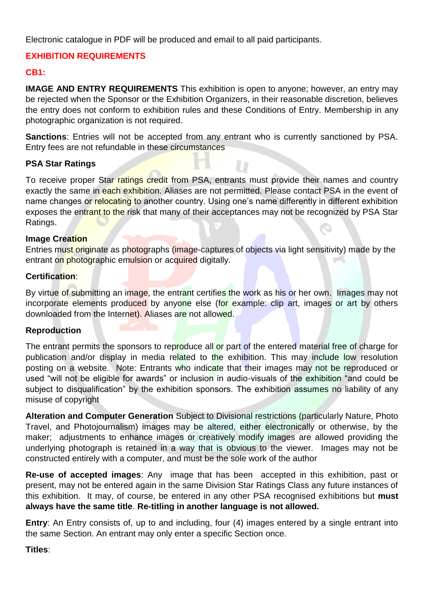Electronic catalogue in PDF will be produced and email to all paid participants.

# **EXHIBITION REQUIREMENTS**

## **CB1:**

**IMAGE AND ENTRY REQUIREMENTS** This exhibition is open to anyone; however, an entry may be rejected when the Sponsor or the Exhibition Organizers, in their reasonable discretion, believes the entry does not conform to exhibition rules and these Conditions of Entry. Membership in any photographic organization is not required.

**Sanctions**: Entries will not be accepted from any entrant who is currently sanctioned by PSA. Entry fees are not refundable in these circumstances

## **PSA Star Ratings**

To receive proper Star ratings credit from PSA, entrants must provide their names and country exactly the same in each exhibition. Aliases are not permitted. Please contact PSA in the event of name changes or relocating to another country. Using one's name differently in different exhibition exposes the entrant to the risk that many of their acceptances may not be recognized by PSA Star Ratings.

## **Image Creation**

Entries must originate as photographs (image-captures of objects via light sensitivity) made by the entrant on photographic emulsion or acquired digitally.

## **Certification**:

By virtue of submitting an image, the entrant certifies the work as his or her own. Images may not incorporate elements produced by anyone else (for example: clip art, images or art by others downloaded from the Internet). Aliases are not allowed.

## **Reproduction**

The entrant permits the sponsors to reproduce all or part of the entered material free of charge for publication and/or display in media related to the exhibition. This may include low resolution posting on a website. Note: Entrants who indicate that their images may not be reproduced or used "will not be eligible for awards" or inclusion in audio-visuals of the exhibition "and could be subject to disqualification" by the exhibition sponsors. The exhibition assumes no liability of any misuse of copyright

**Alteration and Computer Generation** Subject to Divisional restrictions (particularly Nature, Photo Travel, and Photojournalism) images may be altered, either electronically or otherwise, by the maker; adjustments to enhance images or creatively modify images are allowed providing the underlying photograph is retained in a way that is obvious to the viewer. Images may not be constructed entirely with a computer, and must be the sole work of the author

**Re-use of accepted images**: Any image that has been accepted in this exhibition, past or present, may not be entered again in the same Division Star Ratings Class any future instances of this exhibition. It may, of course, be entered in any other PSA recognised exhibitions but **must always have the same title**. **Re-titling in another language is not allowed.**

**Entry:** An Entry consists of, up to and including, four (4) images entered by a single entrant into the same Section. An entrant may only enter a specific Section once.

## **Titles**: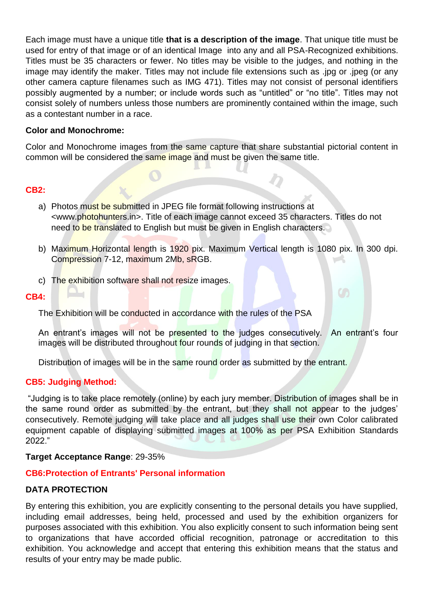Each image must have a unique title **that is a description of the image**. That unique title must be used for entry of that image or of an identical Image into any and all PSA-Recognized exhibitions. Titles must be 35 characters or fewer. No titles may be visible to the judges, and nothing in the image may identify the maker. Titles may not include file extensions such as .jpg or .jpeg (or any other camera capture filenames such as IMG 471). Titles may not consist of personal identifiers possibly augmented by a number; or include words such as "untitled" or "no title". Titles may not consist solely of numbers unless those numbers are prominently contained within the image, such as a contestant number in a race.

#### **Color and Monochrome:**

Color and Monochrome images from the same capture that share substantial pictorial content in common will be considered the same image and must be given the same title.

## **CB2:**

- a) Photos must be submitted in JPEG file format following instructions at <www.photohunters.in>. Title of each image cannot exceed 35 characters. Titles do not need to be translated to English but must be given in English characters.
- b) Maximum Horizontal length is 1920 pix. Maximum Vertical length is 1080 pix. In 300 dpi. Compression 7-12, maximum 2Mb, sRGB.
- c) The exhibition software shall not resize images.

#### **CB4:**

The Exhibition will be conducted in accordance with the rules of the PSA

An entrant's images will not be presented to the judges consecutively. An entrant's four images will be distributed throughout four rounds of judging in that section.

Distribution of images will be in the same round order as submitted by the entrant.

#### **CB5: Judging Method:**

"Judging is to take place remotely (online) by each jury member. Distribution of images shall be in the same round order as submitted by the entrant, but they shall not appear to the judges' consecutively. Remote judging will take place and all judges shall use their own Color calibrated equipment capable of displaying submitted images at 100% as per PSA Exhibition Standards 2022."

## **Target Acceptance Range**: 29-35%

## **CB6:Protection of Entrants' Personal information**

#### **DATA PROTECTION**

By entering this exhibition, you are explicitly consenting to the personal details you have supplied, including email addresses, being held, processed and used by the exhibition organizers for purposes associated with this exhibition. You also explicitly consent to such information being sent to organizations that have accorded official recognition, patronage or accreditation to this exhibition. You acknowledge and accept that entering this exhibition means that the status and results of your entry may be made public.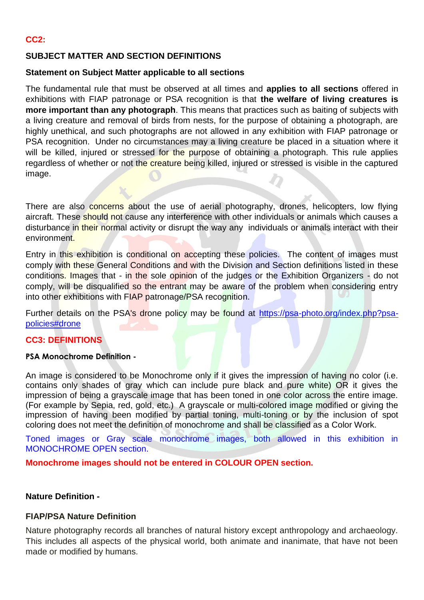## **SUBJECT MATTER AND SECTION DEFINITIONS**

## **Statement on Subject Matter applicable to all sections**

The fundamental rule that must be observed at all times and **applies to all sections** offered in exhibitions with FIAP patronage or PSA recognition is that **the welfare of living creatures is more important than any photograph**. This means that practices such as baiting of subjects with a living creature and removal of birds from nests, for the purpose of obtaining a photograph, are highly unethical, and such photographs are not allowed in any exhibition with FIAP patronage or PSA recognition. Under no circumstances may a living creature be placed in a situation where it will be killed, injured or stressed for the purpose of obtaining a photograph. This rule applies regardless of whether or not the creature being killed, injured or stressed is visible in the captured image.

There are also concerns about the use of aerial photography, drones, helicopters, low flying aircraft. These should not cause any interference with other individuals or animals which causes a disturbance in their normal activity or disrupt the way any individuals or animals interact with their environment.

Entry in this exhibition is conditional on accepting these policies. The content of images must comply with these General Conditions and with the Division and Section definitions listed in these conditions. Images that - in the sole opinion of the judges or the Exhibition Organizers - do not comply, will be disqualified so the entrant may be aware of the problem when considering entry into other exhibitions with FIAP patronage/PSA recognition.

Further details on the PSA's drone policy may be found at [https://psa-photo.org/index.php?psa](https://psa-photo.org/index.php?psa-policies%23drone)[policies#drone](https://psa-photo.org/index.php?psa-policies%23drone)

## **CC3: DEFINITIONS**

#### **PSA Monochrome Definition -**

An image is considered to be Monochrome only if it gives the impression of having no color (i.e. contains only shades of gray which can include pure black and pure white) OR it gives the impression of being a grayscale image that has been toned in one color across the entire image. (For example by Sepia, red, gold, etc.) A grayscale or multi-colored image modified or giving the impression of having been modified by partial toning, multi-toning or by the inclusion of spot coloring does not meet the definition of monochrome and shall be classified as a Color Work.

Toned images or Gray scale monochrome images, both allowed in this exhibition in MONOCHROME OPEN section.

**Monochrome images should not be entered in COLOUR OPEN section.**

## **Nature Definition -**

## **FIAP/PSA Nature Definition**

Nature photography records all branches of natural history except anthropology and archaeology. This includes all aspects of the physical world, both animate and inanimate, that have not been made or modified by humans.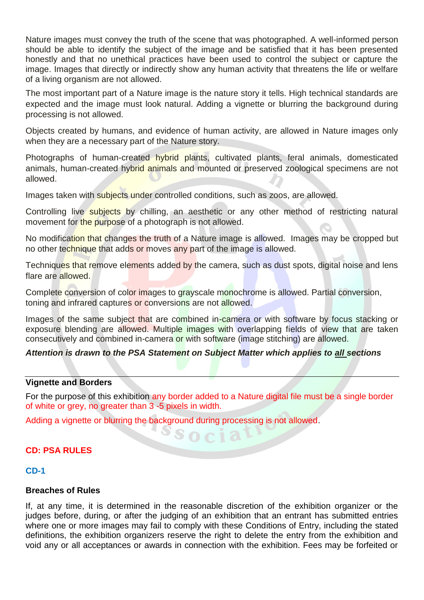Nature images must convey the truth of the scene that was photographed. A well-informed person should be able to identify the subject of the image and be satisfied that it has been presented honestly and that no unethical practices have been used to control the subject or capture the image. Images that directly or indirectly show any human activity that threatens the life or welfare of a living organism are not allowed.

The most important part of a Nature image is the nature story it tells. High technical standards are expected and the image must look natural. Adding a vignette or blurring the background during processing is not allowed.

Objects created by humans, and evidence of human activity, are allowed in Nature images only when they are a necessary part of the Nature story.

Photographs of human-created hybrid plants, cultivated plants, feral animals, domesticated animals, human-created hybrid animals and mounted or preserved zoological specimens are not allowed.

Images taken with subjects under controlled conditions, such as zoos, are allowed.

Controlling live subjects by chilling, an aesthetic or any other method of restricting natural movement for the purpose of a photograph is not allowed.

No modification that changes the truth of a Nature image is allowed. Images may be cropped but no other technique that adds or moves any part of the image is allowed.

Techniques that remove elements added by the camera, such as dust spots, digital noise and lens flare are allowed.

Complete conversion of color images to grayscale monochrome is allowed. Partial conversion, toning and infrared captures or conversions are not allowed.

Images of the same subject that are combined in-camera or with software by focus stacking or exposure blending are allowed. Multiple images with overlapping fields of view that are taken consecutively and combined in-camera or with software (image stitching) are allowed.

## *Attention is drawn to the PSA Statement on Subject Matter which applies to all sections*

## **Vignette and Borders**

For the purpose of this exhibition any border added to a Nature digital file must be a single border of white or grey, no greater than 3 -5 pixels in width.

Socia

Adding a vignette or blurring the background during processing is not allowed.

## **CD: PSA RULES**

#### **CD-1**

#### **Breaches of Rules**

If, at any time, it is determined in the reasonable discretion of the exhibition organizer or the judges before, during, or after the judging of an exhibition that an entrant has submitted entries where one or more images may fail to comply with these Conditions of Entry, including the stated definitions, the exhibition organizers reserve the right to delete the entry from the exhibition and void any or all acceptances or awards in connection with the exhibition. Fees may be forfeited or